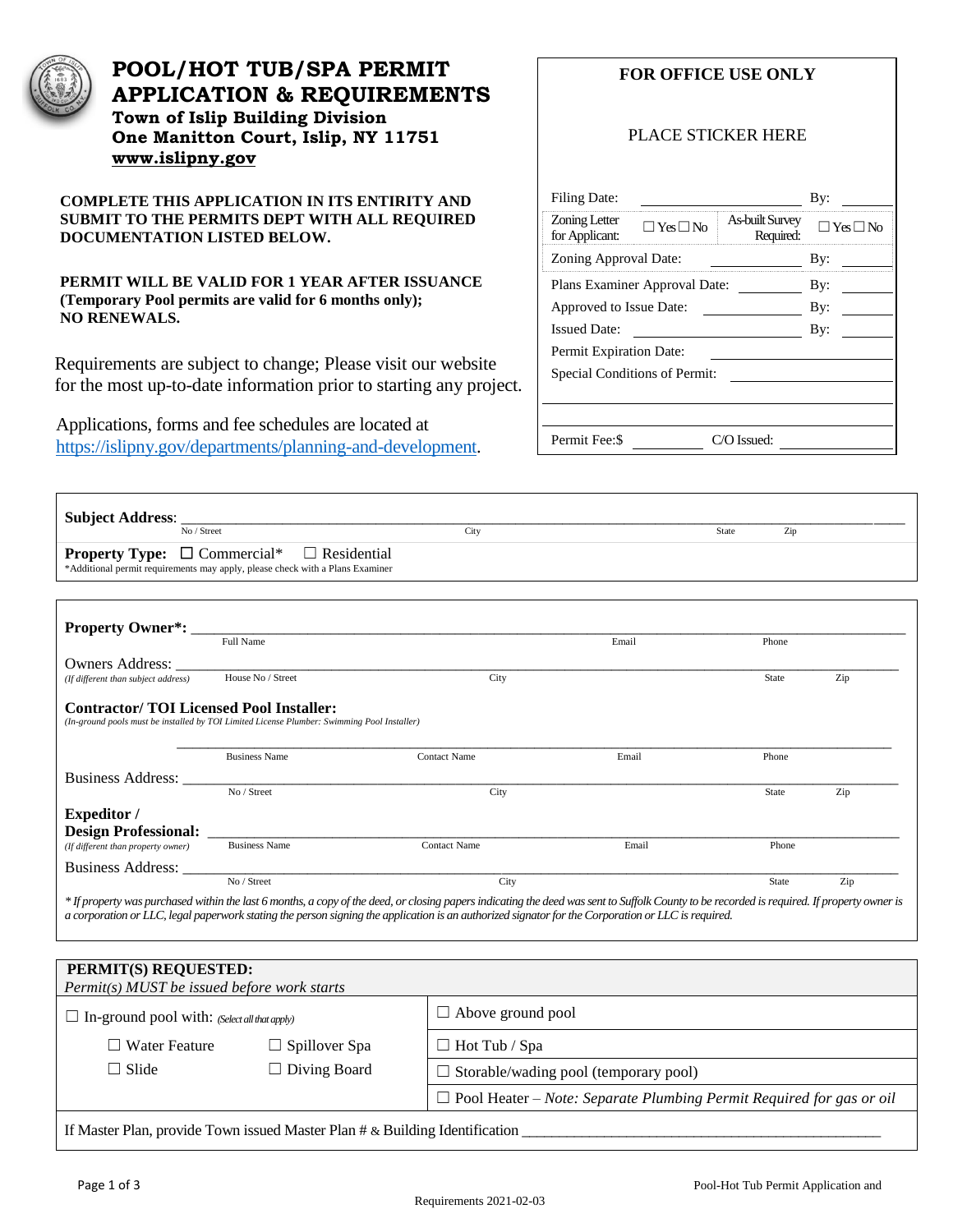

 $\mathsf I$ 

# **POOL/HOT TUB/SPA PERMIT APPLICATION & REQUIREMENTS Town of Islip Building Division One Manitton Court, Islip, NY 11751 [www.islipny.gov](http://www.islipny.gov/)**

**COMPLETE THIS APPLICATION IN ITS ENTIRITY AND SUBMIT TO THE PERMITS DEPT WITH ALL REQUIRED DOCUMENTATION LISTED BELOW.**

**PERMIT WILL BE VALID FOR 1 YEAR AFTER ISSUANCE (Temporary Pool permits are valid for 6 months only); NO RENEWALS.**

Requirements are subject to change; Please visit our website for the most up-to-date information prior to starting any project.

Applications, forms and fee schedules are located at [https://islipny.gov/departments/planning-and-development.](https://islipny.gov/departments/planning-and-development) **FOR OFFICE USE ONLY**

#### PLACE STICKER HERE

| Filing Date:                                            |                                     | By:                  |  |  |  |  |
|---------------------------------------------------------|-------------------------------------|----------------------|--|--|--|--|
| Zoning Letter<br>$\Box$ Yes $\Box$ No<br>for Applicant: | <b>As-built Survey</b><br>Required: | $\Box$ Yes $\Box$ No |  |  |  |  |
| Zoning Approval Date:                                   | By:                                 |                      |  |  |  |  |
| Plans Examiner Approval Date:                           | By:                                 |                      |  |  |  |  |
| Approved to Issue Date:                                 | By:                                 |                      |  |  |  |  |
| <b>Issued Date:</b>                                     | By:                                 |                      |  |  |  |  |
| Permit Expiration Date:                                 |                                     |                      |  |  |  |  |
| Special Conditions of Permit:                           |                                     |                      |  |  |  |  |
|                                                         |                                     |                      |  |  |  |  |
|                                                         |                                     |                      |  |  |  |  |
| Permit Fee: \$                                          | C/O Issued:                         |                      |  |  |  |  |

| Subject Address:<br>No / Street                                                                          |                                                                                                                                              | City                |       | Zip<br>State |     |
|----------------------------------------------------------------------------------------------------------|----------------------------------------------------------------------------------------------------------------------------------------------|---------------------|-------|--------------|-----|
|                                                                                                          | <b>Property Type:</b> $\Box$ Commercial* $\Box$ Residential<br>*Additional permit requirements may apply, please check with a Plans Examiner |                     |       |              |     |
| <b>Property Owner*: __</b>                                                                               |                                                                                                                                              |                     |       |              |     |
|                                                                                                          | Full Name                                                                                                                                    |                     | Email | Phone        |     |
|                                                                                                          |                                                                                                                                              |                     |       |              |     |
|                                                                                                          |                                                                                                                                              |                     |       |              |     |
| Owners Address:<br>(If different than subject address)<br><b>Contractor/TOI Licensed Pool Installer:</b> | House No / Street<br>(In-ground pools must be installed by TOI Limited License Plumber: Swimming Pool Installer)                             | City                |       | <b>State</b> | Zip |
|                                                                                                          | <b>Business Name</b>                                                                                                                         | <b>Contact Name</b> | Email | Phone        |     |
| Business Address:                                                                                        |                                                                                                                                              |                     |       |              |     |
|                                                                                                          | No / Street                                                                                                                                  | City                |       | <b>State</b> | Zip |
|                                                                                                          |                                                                                                                                              |                     |       |              |     |
|                                                                                                          | <b>Business Name</b>                                                                                                                         | <b>Contact Name</b> | Email | Phone        |     |
| <b>Expeditor</b> /<br>(If different than property owner)<br>Business Address:                            |                                                                                                                                              |                     |       |              |     |

| PERMIT(S) REQUESTED:<br>Permit(s) MUST be issued before work starts         |                      |                                                                             |  |  |
|-----------------------------------------------------------------------------|----------------------|-----------------------------------------------------------------------------|--|--|
| $\Box$ In-ground pool with: (Select all that apply)                         |                      | $\Box$ Above ground pool                                                    |  |  |
| $\Box$ Water Feature                                                        | $\Box$ Spillover Spa | $\Box$ Hot Tub / Spa                                                        |  |  |
| $\Box$ Slide                                                                | $\Box$ Diving Board  | $\Box$ Storable/wading pool (temporary pool)                                |  |  |
|                                                                             |                      | $\Box$ Pool Heater – Note: Separate Plumbing Permit Required for gas or oil |  |  |
| If Master Plan, provide Town issued Master Plan # & Building Identification |                      |                                                                             |  |  |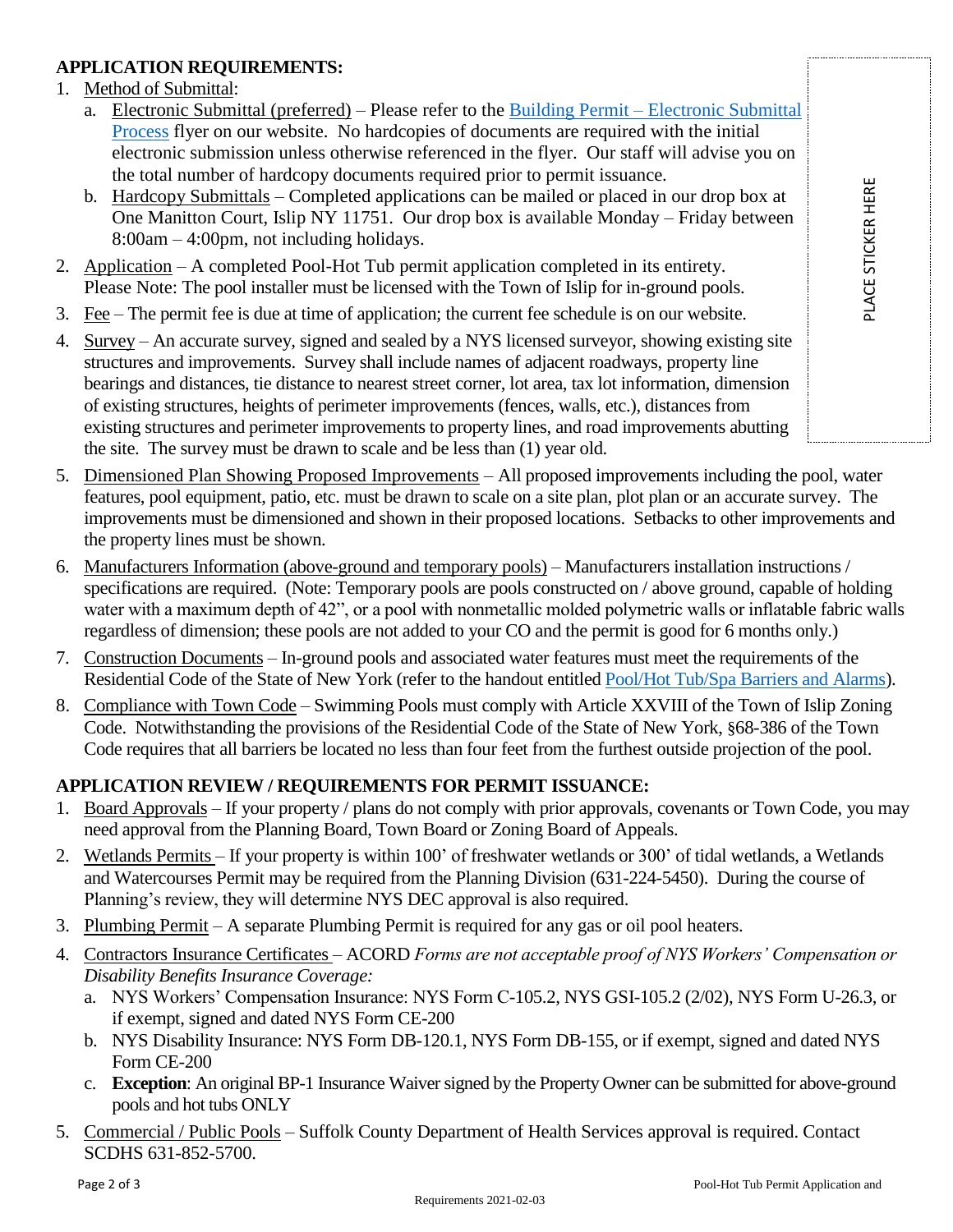# PLACE STICKER HERE PLACE STICKER HERE

#### **APPLICATION REQUIREMENTS:**

#### 1. Method of Submittal:

- a. Electronic Submittal (preferred) Please refer to the Building Permit [Electronic Submittal](https://islipny.gov/building-division-permits-list/986-document-upload-instructions-for-electronic-submissions-building/file)  [Process](https://islipny.gov/building-division-permits-list/986-document-upload-instructions-for-electronic-submissions-building/file) flyer on our website. No hardcopies of documents are required with the initial electronic submission unless otherwise referenced in the flyer. Our staff will advise you on the total number of hardcopy documents required prior to permit issuance.
- b. Hardcopy Submittals Completed applications can be mailed or placed in our drop box at One Manitton Court, Islip NY 11751. Our drop box is available Monday – Friday between 8:00am – 4:00pm, not including holidays.
- 2. Application A completed Pool-Hot Tub permit application completed in its entirety. Please Note: The pool installer must be licensed with the Town of Islip for in-ground pools.
- 3. Fee The permit fee is due at time of application; the current fee schedule is on our website.
- 4. Survey An accurate survey, signed and sealed by a NYS licensed surveyor, showing existing site structures and improvements. Survey shall include names of adjacent roadways, property line bearings and distances, tie distance to nearest street corner, lot area, tax lot information, dimension of existing structures, heights of perimeter improvements (fences, walls, etc.), distances from existing structures and perimeter improvements to property lines, and road improvements abutting the site. The survey must be drawn to scale and be less than (1) year old.
- 5. Dimensioned Plan Showing Proposed Improvements All proposed improvements including the pool, water features, pool equipment, patio, etc. must be drawn to scale on a site plan, plot plan or an accurate survey. The improvements must be dimensioned and shown in their proposed locations. Setbacks to other improvements and the property lines must be shown.
- 6. Manufacturers Information (above-ground and temporary pools) Manufacturers installation instructions / specifications are required. (Note: Temporary pools are pools constructed on / above ground, capable of holding water with a maximum depth of 42", or a pool with nonmetallic molded polymetric walls or inflatable fabric walls regardless of dimension; these pools are not added to your CO and the permit is good for 6 months only.)
- 7. Construction Documents In-ground pools and associated water features must meet the requirements of the Residential Code of the State of New York (refer to the handout entitled [Pool/Hot Tub/Spa Barriers and Alarms\)](https://islipny.gov/building-division-permits-list/56-pool-hot-tub-barriers-and-alarms).
- 8. Compliance with Town Code Swimming Pools must comply with Article XXVIII of the Town of Islip Zoning Code. Notwithstanding the provisions of the Residential Code of the State of New York, §68-386 of the Town Code requires that all barriers be located no less than four feet from the furthest outside projection of the pool.

## **APPLICATION REVIEW / REQUIREMENTS FOR PERMIT ISSUANCE:**

- 1. Board Approvals If your property / plans do not comply with prior approvals, covenants or Town Code, you may need approval from the Planning Board, Town Board or Zoning Board of Appeals.
- 2. Wetlands Permits If your property is within 100' of freshwater wetlands or 300' of tidal wetlands, a Wetlands and Watercourses Permit may be required from the Planning Division (631-224-5450). During the course of Planning's review, they will determine NYS DEC approval is also required.
- 3. Plumbing Permit A separate Plumbing Permit is required for any gas or oil pool heaters.
- 4. Contractors Insurance Certificates ACORD *Forms are not acceptable proof of NYS Workers' Compensation or Disability Benefits Insurance Coverage:*
	- a. NYS Workers' Compensation Insurance: NYS Form C-105.2, NYS GSI-105.2 (2/02), NYS Form U-26.3, or if exempt, signed and dated NYS Form CE-200
	- b. NYS Disability Insurance: NYS Form DB-120.1, NYS Form DB-155, or if exempt, signed and dated NYS Form CE-200
	- c. **Exception**: An original BP-1 Insurance Waiver signed by the Property Owner can be submitted for above-ground pools and hot tubs ONLY
- 5. Commercial / Public Pools Suffolk County Department of Health Services approval is required. Contact SCDHS 631-852-5700.